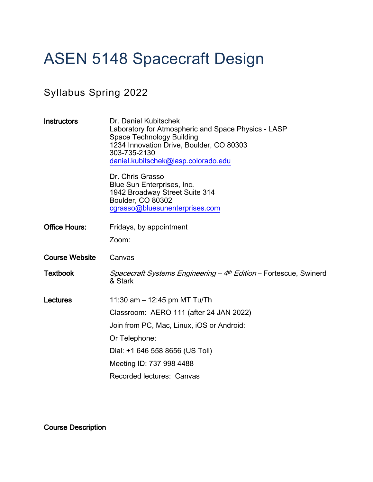# ASEN 5148 Spacecraft Design

# Syllabus Spring 2022

| <b>Instructors</b>    | Dr. Daniel Kubitschek<br>Laboratory for Atmospheric and Space Physics - LASP<br><b>Space Technology Building</b><br>1234 Innovation Drive, Boulder, CO 80303<br>303-735-2130<br>daniel.kubitschek@lasp.colorado.edu |  |
|-----------------------|---------------------------------------------------------------------------------------------------------------------------------------------------------------------------------------------------------------------|--|
|                       | Dr. Chris Grasso<br>Blue Sun Enterprises, Inc.<br>1942 Broadway Street Suite 314<br>Boulder, CO 80302<br>cgrasso@bluesunenterprises.com                                                                             |  |
| <b>Office Hours:</b>  | Fridays, by appointment                                                                                                                                                                                             |  |
|                       | Zoom:                                                                                                                                                                                                               |  |
| <b>Course Website</b> | Canvas                                                                                                                                                                                                              |  |
| <b>Textbook</b>       | <i>Spacecraft Systems Engineering - 4<sup>th</sup> Edition</i> - Fortescue, Swinerd<br>& Stark                                                                                                                      |  |
| Lectures              | 11:30 am $-$ 12:45 pm MT Tu/Th                                                                                                                                                                                      |  |
|                       | Classroom: AERO 111 (after 24 JAN 2022)                                                                                                                                                                             |  |
|                       | Join from PC, Mac, Linux, iOS or Android:                                                                                                                                                                           |  |
|                       | Or Telephone:                                                                                                                                                                                                       |  |
|                       | Dial: +1 646 558 8656 (US Toll)                                                                                                                                                                                     |  |
|                       | Meeting ID: 737 998 4488                                                                                                                                                                                            |  |
|                       | Recorded lectures: Canvas                                                                                                                                                                                           |  |

Course Description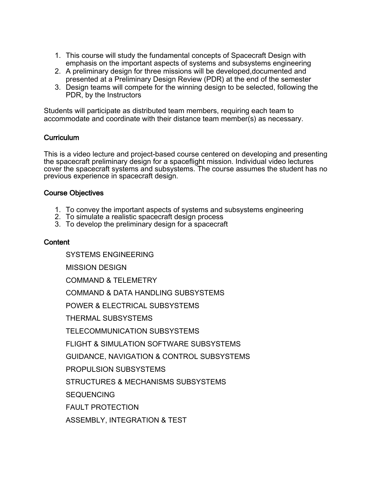- 1. This course will study the fundamental concepts of Spacecraft Design with emphasis on the important aspects of systems and subsystems engineering
- 2. A preliminary design for three missions will be developed,documented and presented at a Preliminary Design Review (PDR) at the end of the semester
- 3. Design teams will compete for the winning design to be selected, following the PDR, by the Instructors

Students will participate as distributed team members, requiring each team to accommodate and coordinate with their distance team member(s) as necessary.

# Curriculum

This is a video lecture and project-based course centered on developing and presenting the spacecraft preliminary design for a spaceflight mission. Individual video lectures cover the spacecraft systems and subsystems. The course assumes the student has no previous experience in spacecraft design.

# Course Objectives

- 1. To convey the important aspects of systems and subsystems engineering
- 2. To simulate a realistic spacecraft design process
- 3. To develop the preliminary design for a spacecraft

# **Content**

SYSTEMS ENGINEERING

MISSION DESIGN

COMMAND & TELEMETRY

COMMAND & DATA HANDLING SUBSYSTEMS

POWER & ELECTRICAL SUBSYSTEMS

THERMAL SUBSYSTEMS

TELECOMMUNICATION SUBSYSTEMS

FLIGHT & SIMULATION SOFTWARE SUBSYSTEMS

GUIDANCE, NAVIGATION & CONTROL SUBSYSTEMS

PROPULSION SUBSYSTEMS

STRUCTURES & MECHANISMS SUBSYSTEMS

**SEQUENCING** 

FAULT PROTECTION

ASSEMBLY, INTEGRATION & TEST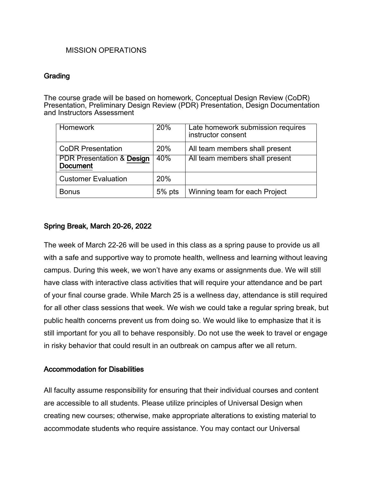#### MISSION OPERATIONS

#### **Grading**

The course grade will be based on homework, Conceptual Design Review (CoDR) Presentation, Preliminary Design Review (PDR) Presentation, Design Documentation and Instructors Assessment

| Homework                                                | 20%      | Late homework submission requires<br>instructor consent |
|---------------------------------------------------------|----------|---------------------------------------------------------|
| <b>CoDR Presentation</b>                                | 20%      | All team members shall present                          |
| <b>PDR Presentation &amp; Design</b><br><b>Document</b> | 40%      | All team members shall present                          |
| <b>Customer Evaluation</b>                              | 20%      |                                                         |
| <b>Bonus</b>                                            | $5%$ pts | Winning team for each Project                           |

#### Spring Break, March 20-26, 2022

The week of March 22-26 will be used in this class as a spring pause to provide us all with a safe and supportive way to promote health, wellness and learning without leaving campus. During this week, we won't have any exams or assignments due. We will still have class with interactive class activities that will require your attendance and be part of your final course grade. While March 25 is a wellness day, attendance is still required for all other class sessions that week. We wish we could take a regular spring break, but public health concerns prevent us from doing so. We would like to emphasize that it is still important for you all to behave responsibly. Do not use the week to travel or engage in risky behavior that could result in an outbreak on campus after we all return.

# Accommodation for Disabilities

All faculty assume responsibility for ensuring that their individual courses and content are accessible to all students. Please utilize principles of Universal Design when creating new courses; otherwise, make appropriate alterations to existing material to accommodate students who require assistance. You may contact our Universal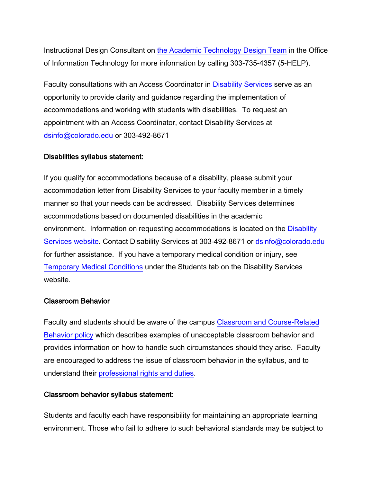Instructional Design Consultant on the Academic Technology Design Team in the Office of Information Technology for more information by calling 303-735-4357 (5-HELP).

Faculty consultations with an Access Coordinator in Disability Services serve as an opportunity to provide clarity and guidance regarding the implementation of accommodations and working with students with disabilities. To request an appointment with an Access Coordinator, contact Disability Services at dsinfo@colorado.edu or 303-492-8671

#### Disabilities syllabus statement:

If you qualify for accommodations because of a disability, please submit your accommodation letter from Disability Services to your faculty member in a timely manner so that your needs can be addressed. Disability Services determines accommodations based on documented disabilities in the academic environment. Information on requesting accommodations is located on the Disability Services website. Contact Disability Services at 303-492-8671 or dsinfo@colorado.edu for further assistance. If you have a temporary medical condition or injury, see Temporary Medical Conditions under the Students tab on the Disability Services website.

#### Classroom Behavior

Faculty and students should be aware of the campus Classroom and Course-Related Behavior policy which describes examples of unacceptable classroom behavior and provides information on how to handle such circumstances should they arise. Faculty are encouraged to address the issue of classroom behavior in the syllabus, and to understand their professional rights and duties.

#### Classroom behavior syllabus statement:

Students and faculty each have responsibility for maintaining an appropriate learning environment. Those who fail to adhere to such behavioral standards may be subject to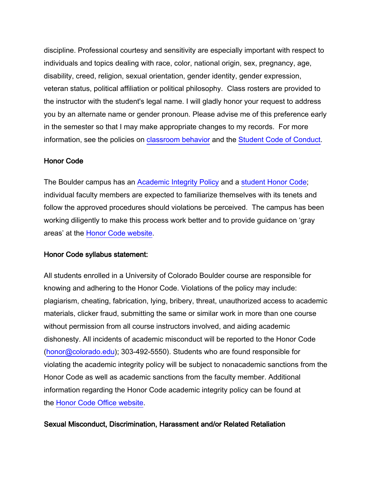discipline. Professional courtesy and sensitivity are especially important with respect to individuals and topics dealing with race, color, national origin, sex, pregnancy, age, disability, creed, religion, sexual orientation, gender identity, gender expression, veteran status, political affiliation or political philosophy. Class rosters are provided to the instructor with the student's legal name. I will gladly honor your request to address you by an alternate name or gender pronoun. Please advise me of this preference early in the semester so that I may make appropriate changes to my records. For more information, see the policies on classroom behavior and the Student Code of Conduct.

# Honor Code

The Boulder campus has an Academic Integrity Policy and a student Honor Code; individual faculty members are expected to familiarize themselves with its tenets and follow the approved procedures should violations be perceived. The campus has been working diligently to make this process work better and to provide guidance on 'gray areas' at the Honor Code website.

#### Honor Code syllabus statement:

All students enrolled in a University of Colorado Boulder course are responsible for knowing and adhering to the Honor Code. Violations of the policy may include: plagiarism, cheating, fabrication, lying, bribery, threat, unauthorized access to academic materials, clicker fraud, submitting the same or similar work in more than one course without permission from all course instructors involved, and aiding academic dishonesty. All incidents of academic misconduct will be reported to the Honor Code (honor@colorado.edu); 303-492-5550). Students who are found responsible for violating the academic integrity policy will be subject to nonacademic sanctions from the Honor Code as well as academic sanctions from the faculty member. Additional information regarding the Honor Code academic integrity policy can be found at the Honor Code Office website.

# Sexual Misconduct, Discrimination, Harassment and/or Related Retaliation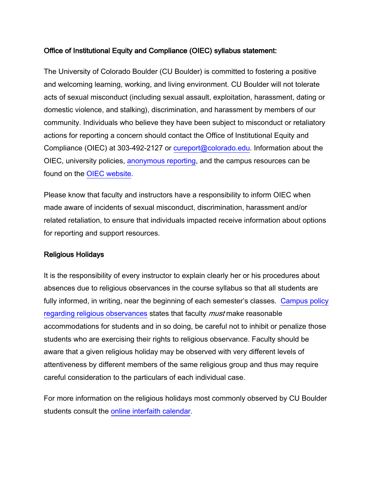# Office of Institutional Equity and Compliance (OIEC) syllabus statement:

The University of Colorado Boulder (CU Boulder) is committed to fostering a positive and welcoming learning, working, and living environment. CU Boulder will not tolerate acts of sexual misconduct (including sexual assault, exploitation, harassment, dating or domestic violence, and stalking), discrimination, and harassment by members of our community. Individuals who believe they have been subject to misconduct or retaliatory actions for reporting a concern should contact the Office of Institutional Equity and Compliance (OIEC) at 303-492-2127 or cureport@colorado.edu. Information about the OIEC, university policies, anonymous reporting, and the campus resources can be found on the OIEC website.

Please know that faculty and instructors have a responsibility to inform OIEC when made aware of incidents of sexual misconduct, discrimination, harassment and/or related retaliation, to ensure that individuals impacted receive information about options for reporting and support resources.

#### Religious Holidays

It is the responsibility of every instructor to explain clearly her or his procedures about absences due to religious observances in the course syllabus so that all students are fully informed, in writing, near the beginning of each semester's classes. Campus policy regarding religious observances states that faculty *must* make reasonable accommodations for students and in so doing, be careful not to inhibit or penalize those students who are exercising their rights to religious observance. Faculty should be aware that a given religious holiday may be observed with very different levels of attentiveness by different members of the same religious group and thus may require careful consideration to the particulars of each individual case.

For more information on the religious holidays most commonly observed by CU Boulder students consult the online interfaith calendar.